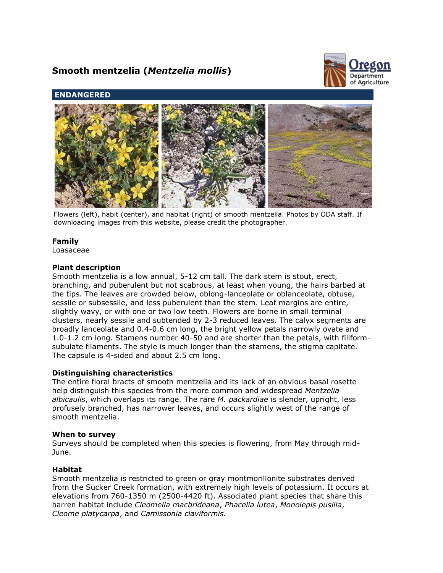# **Smooth mentzelia (***Mentzelia mollis***)**



# **ENDANGERED**



Flowers (left), habit (center), and habitat (right) of smooth mentzelia. Photos by ODA staff. If downloading images from this website, please credit the photographer.

# **Family**

Loasaceae

## **Plant description**

Smooth mentzelia is a low annual, 5-12 cm tall. The dark stem is stout, erect, branching, and puberulent but not scabrous, at least when young, the hairs barbed at the tips. The leaves are crowded below, oblong-lanceolate or oblanceolate, obtuse, sessile or subsessile, and less puberulent than the stem. Leaf margins are entire, slightly wavy, or with one or two low teeth. Flowers are borne in small terminal clusters, nearly sessile and subtended by 2-3 reduced leaves. The calyx segments are broadly lanceolate and 0.4-0.6 cm long, the bright yellow petals narrowly ovate and 1.0-1.2 cm long. Stamens number 40-50 and are shorter than the petals, with filiformsubulate filaments. The style is much longer than the stamens, the stigma capitate. The capsule is 4-sided and about 2.5 cm long.

# **Distinguishing characteristics**

The entire floral bracts of smooth mentzelia and its lack of an obvious basal rosette help distinguish this species from the more common and widespread *Mentzelia albicaulis*, which overlaps its range. The rare *M. packardiae* is slender, upright, less profusely branched, has narrower leaves, and occurs slightly west of the range of smooth mentzelia.

#### **When to survey**

Surveys should be completed when this species is flowering, from May through mid-June.

# **Habitat**

Smooth mentzelia is restricted to green or gray montmorillonite substrates derived from the Sucker Creek formation, with extremely high levels of potassium. It occurs at elevations from 760-1350 m (2500-4420 ft). Associated plant species that share this barren habitat include *Cleomella macbrideana*, *Phacelia lutea*, *Monolepis pusilla*, *Cleome platycarpa*, and *Camissonia claviformis.*